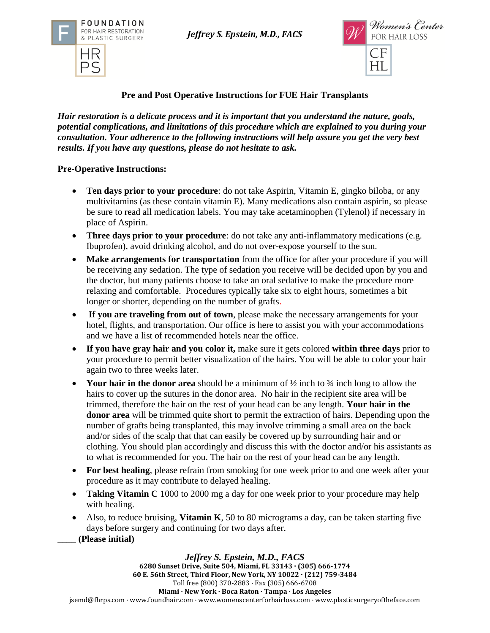*Jeffrey S. Epstein, M.D., FACS*





**Pre and Post Operative Instructions for FUE Hair Transplants**

*Hair restoration is a delicate process and it is important that you understand the nature, goals, potential complications, and limitations of this procedure which are explained to you during your consultation. Your adherence to the following instructions will help assure you get the very best results. If you have any questions, please do not hesitate to ask.* 

# **Pre-Operative Instructions:**

- **Ten days prior to your procedure**: do not take Aspirin, Vitamin E, gingko biloba, or any multivitamins (as these contain vitamin E). Many medications also contain aspirin, so please be sure to read all medication labels. You may take acetaminophen (Tylenol) if necessary in place of Aspirin.
- **Three days prior to your procedure**: do not take any anti-inflammatory medications (e.g. Ibuprofen), avoid drinking alcohol, and do not over-expose yourself to the sun.
- Make arrangements for transportation from the office for after your procedure if you will be receiving any sedation. The type of sedation you receive will be decided upon by you and the doctor, but many patients choose to take an oral sedative to make the procedure more relaxing and comfortable. Procedures typically take six to eight hours, sometimes a bit longer or shorter, depending on the number of grafts.
- **If you are traveling from out of town**, please make the necessary arrangements for your hotel, flights, and transportation. Our office is here to assist you with your accommodations and we have a list of recommended hotels near the office.
- **If you have gray hair and you color it,** make sure it gets colored **within three days** prior to your procedure to permit better visualization of the hairs. You will be able to color your hair again two to three weeks later.
- **Your hair in the donor area** should be a minimum of ½ inch to ¾ inch long to allow the hairs to cover up the sutures in the donor area. No hair in the recipient site area will be trimmed, therefore the hair on the rest of your head can be any length. **Your hair in the donor area** will be trimmed quite short to permit the extraction of hairs. Depending upon the number of grafts being transplanted, this may involve trimming a small area on the back and/or sides of the scalp that that can easily be covered up by surrounding hair and or clothing. You should plan accordingly and discuss this with the doctor and/or his assistants as to what is recommended for you. The hair on the rest of your head can be any length.
- **For best healing**, please refrain from smoking for one week prior to and one week after your procedure as it may contribute to delayed healing.
- **Taking Vitamin C** 1000 to 2000 mg a day for one week prior to your procedure may help with healing.
- Also, to reduce bruising, **Vitamin K**, 50 to 80 micrograms a day, can be taken starting five days before surgery and continuing for two days after.
- **\_\_\_\_ (Please initial)**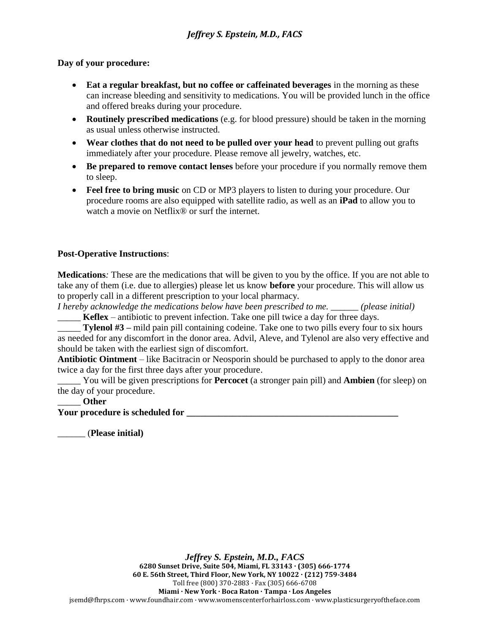#### **Day of your procedure:**

- Eat a regular breakfast, but no coffee or caffeinated beverages in the morning as these can increase bleeding and sensitivity to medications. You will be provided lunch in the office and offered breaks during your procedure.
- **Routinely prescribed medications** (e.g. for blood pressure) should be taken in the morning as usual unless otherwise instructed.
- **Wear clothes that do not need to be pulled over your head** to prevent pulling out grafts immediately after your procedure. Please remove all jewelry, watches, etc.
- **Be prepared to remove contact lenses** before your procedure if you normally remove them to sleep.
- **Feel free to bring music** on CD or MP3 players to listen to during your procedure. Our procedure rooms are also equipped with satellite radio, as well as an **iPad** to allow you to watch a movie on Netflix<sup>®</sup> or surf the internet.

## **Post-Operative Instructions**:

**Medications***:* These are the medications that will be given to you by the office. If you are not able to take any of them (i.e. due to allergies) please let us know **before** your procedure. This will allow us to properly call in a different prescription to your local pharmacy.

*I hereby acknowledge the medications below have been prescribed to me. \_\_\_\_\_\_ (please initial)*  Keflex – antibiotic to prevent infection. Take one pill twice a day for three days.

**Tylenol #3** – mild pain pill containing codeine. Take one to two pills every four to six hours as needed for any discomfort in the donor area. Advil, Aleve, and Tylenol are also very effective and should be taken with the earliest sign of discomfort.

**Antibiotic Ointment** – like Bacitracin or Neosporin should be purchased to apply to the donor area twice a day for the first three days after your procedure.

\_\_\_\_\_ You will be given prescriptions for **Percocet** (a stronger pain pill) and **Ambien** (for sleep) on the day of your procedure.

## \_\_\_\_\_ **Other**

**Your procedure is scheduled for \_\_\_\_\_\_\_\_\_\_\_\_\_\_\_\_\_\_\_\_\_\_\_\_\_\_\_\_\_\_\_\_\_\_\_\_\_\_\_\_\_\_\_\_\_\_**

\_\_\_\_\_\_ (**Please initial)**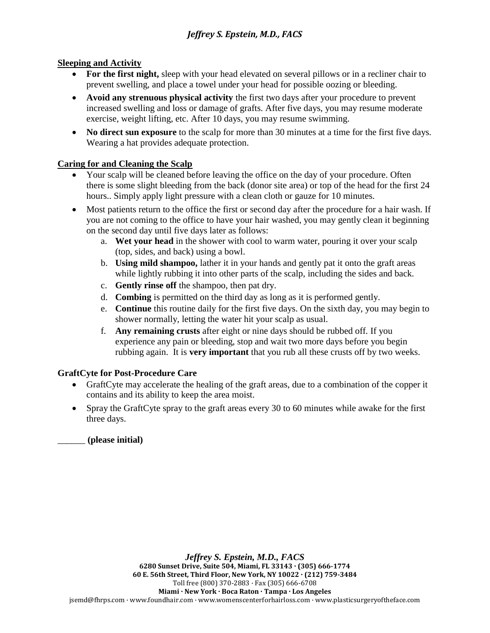## **Sleeping and Activity**

- **For the first night,** sleep with your head elevated on several pillows or in a recliner chair to prevent swelling, and place a towel under your head for possible oozing or bleeding.
- **Avoid any strenuous physical activity** the first two days after your procedure to prevent increased swelling and loss or damage of grafts. After five days, you may resume moderate exercise, weight lifting, etc. After 10 days, you may resume swimming.
- No direct sun exposure to the scalp for more than 30 minutes at a time for the first five days. Wearing a hat provides adequate protection.

## **Caring for and Cleaning the Scalp**

- Your scalp will be cleaned before leaving the office on the day of your procedure. Often there is some slight bleeding from the back (donor site area) or top of the head for the first 24 hours.. Simply apply light pressure with a clean cloth or gauze for 10 minutes.
- Most patients return to the office the first or second day after the procedure for a hair wash. If you are not coming to the office to have your hair washed, you may gently clean it beginning on the second day until five days later as follows:
	- a. **Wet your head** in the shower with cool to warm water, pouring it over your scalp (top, sides, and back) using a bowl.
	- b. **Using mild shampoo,** lather it in your hands and gently pat it onto the graft areas while lightly rubbing it into other parts of the scalp, including the sides and back.
	- c. **Gently rinse off** the shampoo, then pat dry.
	- d. **Combing** is permitted on the third day as long as it is performed gently.
	- e. **Continue** this routine daily for the first five days. On the sixth day, you may begin to shower normally, letting the water hit your scalp as usual.
	- f. **Any remaining crusts** after eight or nine days should be rubbed off. If you experience any pain or bleeding, stop and wait two more days before you begin rubbing again. It is **very important** that you rub all these crusts off by two weeks.

# **GraftCyte for Post-Procedure Care**

- GraftCyte may accelerate the healing of the graft areas, due to a combination of the copper it contains and its ability to keep the area moist.
- Spray the GraftCyte spray to the graft areas every 30 to 60 minutes while awake for the first three days.

\_\_\_\_\_\_ **(please initial)**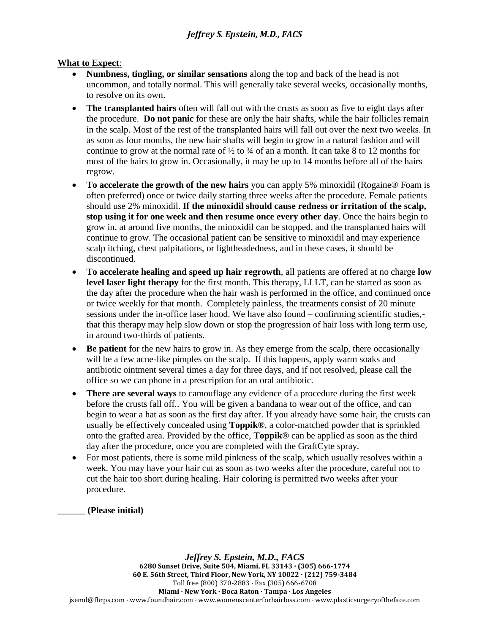## **What to Expect**:

- **Numbness, tingling, or similar sensations** along the top and back of the head is not uncommon, and totally normal. This will generally take several weeks, occasionally months, to resolve on its own.
- **The transplanted hairs** often will fall out with the crusts as soon as five to eight days after the procedure. **Do not panic** for these are only the hair shafts, while the hair follicles remain in the scalp. Most of the rest of the transplanted hairs will fall out over the next two weeks. In as soon as four months, the new hair shafts will begin to grow in a natural fashion and will continue to grow at the normal rate of  $\frac{1}{2}$  to  $\frac{3}{4}$  of an a month. It can take 8 to 12 months for most of the hairs to grow in. Occasionally, it may be up to 14 months before all of the hairs regrow.
- **To accelerate the growth of the new hairs** you can apply 5% minoxidil (Rogaine® Foam is often preferred) once or twice daily starting three weeks after the procedure. Female patients should use 2% minoxidil. **If the minoxidil should cause redness or irritation of the scalp, stop using it for one week and then resume once every other day**. Once the hairs begin to grow in, at around five months, the minoxidil can be stopped, and the transplanted hairs will continue to grow. The occasional patient can be sensitive to minoxidil and may experience scalp itching, chest palpitations, or lightheadedness, and in these cases, it should be discontinued.
- **To accelerate healing and speed up hair regrowth**, all patients are offered at no charge **low level laser light therapy** for the first month. This therapy, LLLT, can be started as soon as the day after the procedure when the hair wash is performed in the office, and continued once or twice weekly for that month. Completely painless, the treatments consist of 20 minute sessions under the in-office laser hood. We have also found – confirming scientific studies, that this therapy may help slow down or stop the progression of hair loss with long term use, in around two-thirds of patients.
- **Be patient** for the new hairs to grow in. As they emerge from the scalp, there occasionally will be a few acne-like pimples on the scalp. If this happens, apply warm soaks and antibiotic ointment several times a day for three days, and if not resolved, please call the office so we can phone in a prescription for an oral antibiotic.
- **There are several ways** to camouflage any evidence of a procedure during the first week before the crusts fall off.. You will be given a bandana to wear out of the office, and can begin to wear a hat as soon as the first day after. If you already have some hair, the crusts can usually be effectively concealed using **Toppik®**, a color-matched powder that is sprinkled onto the grafted area. Provided by the office, **Toppik®** can be applied as soon as the third day after the procedure, once you are completed with the GraftCyte spray.
- For most patients, there is some mild pinkness of the scalp, which usually resolves within a week. You may have your hair cut as soon as two weeks after the procedure, careful not to cut the hair too short during healing. Hair coloring is permitted two weeks after your procedure.

\_\_\_\_\_\_ **(Please initial)**